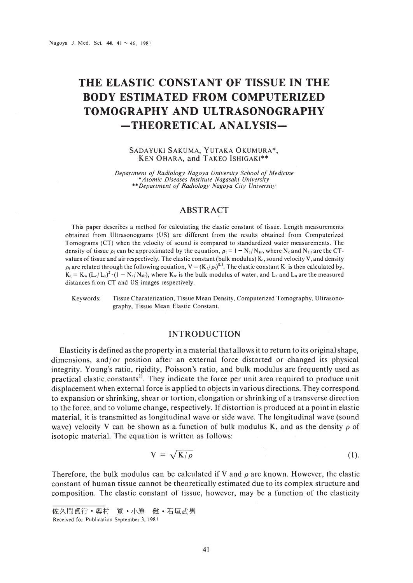# **THE ELASTIC CONSTANT OF TISSUE IN THE BODY ESTIMATED FROM COMPUTERIZED TOMOGRAPHY AND ULTRASONOGRAPHY -THEORETICAL ANALYSIS-**

#### SADAYUKI SAKUMA, YUTAKA OKUMURA\*, KEN OHARA, and TAKEO ISHIGAKI\*\*

*Department of Radiology Nagoya University School of Medicine* \**Atomic Diseases Institute Nagasaki University* \*\* *Department of Radiology Nagoya City University*

### ABSTRACT

This paper describes a method for calculating the elastic constant of tissue. Length measurements obtained from Ultrasonograms (US) are different from the results obtained from Computerized Tomograms (CT) when the velocity of sound is compared to standardized water measurements. The density of tissue  $\rho_1$  can be approximated by the equation,  $\rho_1 = 1 - N_c/N_{air}$ , where N<sub>c</sub> and N<sub>air</sub> are the CTvalues of tissue and air respectively. The elastic constant (bulk modulus) K,. sound velocity Y, and density  $\rho_1$  are related through the following equation,  $V = (K_1/\rho_0)^{0.5}$ . The elastic constant K<sub>i</sub> is then calculated by,  $K_t = K_w (L_c/L_v)^2 \cdot (1 - N_c/N_{air})$ , where  $K_w$  is the bulk modulus of water, and  $L_c$  and  $L_u$  are the measured distances from CT and US images respectively.

Keywords: Tissue Charaterization, Tissue Mean Density, Computerized Tomography, Ultrasonography, Tissue Mean Elastic Constant.

## INTRODUCTION

Elasticity is defined as the property in a material that allows it to return to its original shape, dimensions, and/or position after an external force distorted or changed its physical integrity. Young's ratio, rigidity, Poisson's ratio, and bulk modulus are frequently used as practical elastic constants'). They indicate the force per unit area required to produce unit displacement when external force is applied to objects in various directions. They correspond to expansion or shrinking, shear or tortion, elongation or shrinking of a transverse direction to the force, and to volume change, respectively. If distortion is produced at a point in elastic material, it is transmitted as longitudinal wave or side wave. The longitudinal wave (sound wave) velocity V can be shown as a function of bulk modulus K, and as the density  $\rho$  of isotopic material. The equation is written as follows:

$$
V = \sqrt{K/\rho} \tag{1}
$$

Therefore, the bulk modulus can be calculated if V and  $\rho$  are known. However, the elastic constant of human tissue cannot be theoretically estimated due to its complex structure and composition. The elastic constant of tissue, however, may be a function of the elasticity

佐久間貞行·奥村 寛·小原 健·石垣武男

Received for Publication September 3. 1981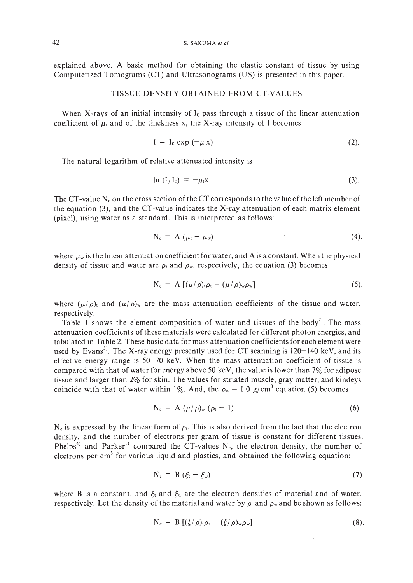explained above. A basic method for obtaining the elastic constant of tissue by using Computerized Tomograms (CT) and Ultrasonograms (US) is presented in this paper.

#### TISSUE DENSITY OBTAINED FROM CT-YALUES

When X-rays of an initial intensity of  $I_0$  pass through a tissue of the linear attenuation coefficient of  $\mu_t$  and of the thickness x, the X-ray intensity of I becomes

$$
I = I_0 \exp(-\mu_t x) \tag{2}.
$$

The natural logarithm of relative attenuated intensity is

$$
\ln (I/I_0) = -\mu_1 x \tag{3}.
$$

The CT-value  $N_c$  on the cross section of the CT corresponds to the value of the left member of the equation (3), and the CT-value indicates the X-ray attenuation of each matrix element (pixel), using water as a standard. This is interpreted as follows:

$$
N_c = A \left( \mu_l - \mu_w \right) \tag{4}
$$

where  $\mu_w$  is the linear attenuation coefficient for water, and A is a constant. When the physical density of tissue and water are  $\rho_t$  and  $\rho_w$ , respectively, the equation (3) becomes

$$
N_c = A \left[ (\mu/\rho)_i \rho_i - (\mu/\rho)_w \rho_w \right] \tag{5}
$$

where  $(\mu/\rho)$  and  $(\mu/\rho)$  are the mass attenuation coefficients of the tissue and water, respectively.

Table 1 shows the element composition of water and tissues of the body<sup>2)</sup>. The mass attenuation coefficients of these materials were calculated for different photon energies, and tabulated in Table 2. These basic data for mass attenuation coefficients for each element were used by Evans<sup>3)</sup>. The X-ray energy presently used for CT scanning is  $120-140$  keV, and its effective energy range is  $50-70$  keV. When the mass attenuation coefficient of tissue is compared with that of water for energy above 50 keV, the value is lower than  $7\%$  for adipose tissue and larger than 2% for skin. The values for striated muscle, gray matter, and kindeys coincide with that of water within 1%. And, the  $\rho_w = 1.0 \text{ g/cm}^3$  equation (5) becomes

$$
N_c = A \left( \mu / \rho \right)_w \left( \rho_t - 1 \right) \tag{6}.
$$

 $N_c$  is expressed by the linear form of  $\rho_t$ . This is also derived from the fact that the electron density, and the number of electrons per gram of tissue is constant for different tissues. Phelps<sup>4)</sup> and Parker<sup>5)</sup> compared the CT-values N<sub>c</sub>, the electron density, the number of electrons per  $cm<sup>3</sup>$  for various liquid and plastics, and obtained the following equation:

$$
N_c = B \left( \xi_t - \xi_w \right) \tag{7}
$$

where B is a constant, and  $\xi_t$  and  $\xi_w$  are the electron densities of material and of water, respectively. Let the density of the material and water by  $\rho_t$  and  $\rho_w$  and be shown as follows:

$$
N_c = B [(\xi/\rho)_t \rho_t - (\xi/\rho)_w \rho_w]
$$
 (8).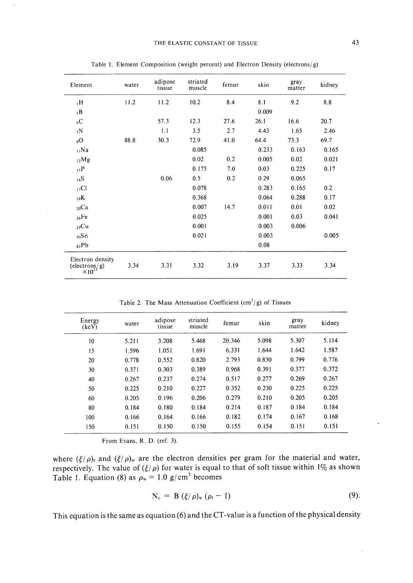| Element                                               | water | adipose<br>tissue | striated<br>muscle | femur | skin  | gray<br>matter | kidney |
|-------------------------------------------------------|-------|-------------------|--------------------|-------|-------|----------------|--------|
| $H_1$                                                 | 11.2  | 11.2              | 10.2               | 8.4   | 8.1   | 9.2            | 8.8    |
| 5B                                                    |       |                   |                    |       | 0.009 |                |        |
| $_{6}C$                                               |       | 57.3              | 12.3               | 27.6  | 26.1  | 16.6           | 20.7   |
| 7N                                                    |       | 1.1               | 3.5                | 2.7   | 4.43  | 1.65           | 2.46   |
| 8 <sub>o</sub>                                        | 88.8  | 30.3              | 72.9               | 41.0  | 64.4  | 73.3           | 69.7   |
| $_{11}$ Na                                            |       |                   | 0.085              |       | 0.233 | 0.163          | 0.165  |
| $_{12}Mg$                                             |       |                   | 0.02               | 0.2   | 0.005 | 0.02           | 0.021  |
| 15P                                                   |       |                   | 0.175              | 7.0   | 0.03  | 0.225          | 0.17   |
| 16S                                                   |       | 0.06              | 0.5                | 0.2   | 0.29  | 0.065          |        |
| 17 <sub>CI</sub>                                      |       |                   | 0.078              |       | 0.283 | 0.165          | 0.2    |
| 19K                                                   |       |                   | 0.368              |       | 0.064 | 0.288          | 0.17   |
| $_{20}Ca$                                             |       |                   | 0.007              | 14.7  | 0.011 | 0.01           | 0.02   |
| $_{26}Fe$                                             |       |                   | 0.025              |       | 0.001 | 0.03           | 0.041  |
| $_{29}Cu$                                             |       |                   | 0.001              |       | 0.003 | 0.006          |        |
| $50$ Sn                                               |       |                   | 0.021              |       | 0.003 |                | 0.005  |
| 82Pb                                                  |       |                   |                    |       | 0.08  |                |        |
| Electron density<br>(electrons/g)<br>$\times 10^{23}$ | 3.34  | 3.31              | 3.32               | 3.19  | 3.37  | 3.33           | 3.34   |

Table 1. Element Composition (weight percent) and Electron Density (electrons/g)

Table 2. The Mass Attenuation Coefficient  $(cm<sup>2</sup>/g)$  of Tissues

| Energy<br>(keV) | water | adipose<br>tissue | striated<br>muscle | femur  | skin  | gray<br>matter | kidney |
|-----------------|-------|-------------------|--------------------|--------|-------|----------------|--------|
| 10              | 5.211 | 3.208             | 5.468              | 20.346 | 5.098 | 5.307          | 5.114  |
| 15              | 1.596 | 1.051             | 1.691              | 6.331  | 1.644 | 1.642          | 1.587  |
| 20              | 0.778 | 0.552             | 0.820              | 2.793  | 0.830 | 0.799          | 0.776  |
| 30              | 0.371 | 0.303             | 0.389              | 0.968  | 0.391 | 0.377          | 0.372  |
| 40              | 0.267 | 0.237             | 0.274              | 0.517  | 0.277 | 0.269          | 0.267  |
| 50              | 0.225 | 0.210             | 0.227              | 0.352  | 0.230 | 0.225          | 0.225  |
| 60              | 0.205 | 0.196             | 0.206              | 0.279  | 0.210 | 0.205          | 0.205  |
| 80              | 0.184 | 0.180             | 0.184              | 0.214  | 0.187 | 0.184          | 0.184  |
| 100             | 0.166 | 0.164             | 0.166              | 0.182  | 0.174 | 0.167          | 0.168  |
| 150             | 0.151 | 0.150             | 0.150              | 0.155  | 0.154 | 0.151          | 0.151  |

From Evans, R. D. (ref. 3).

where  $(\xi/\rho)$ , and  $(\xi/\rho)$  are the electron densities per gram for the material and water, respectively. The value of  $(\xi/\rho)$  for water is equal to that of soft tissue within 1% as shown Table 1. Equation (8) as  $\rho_w = 1.0$  g/cm<sup>3</sup> becomes

$$
N_c = B \left( \frac{\xi}{\rho} \right)_w \left( \rho_t - 1 \right) \tag{9}.
$$

This equation is the same as equation (6) and the CT-value is a function of the physical density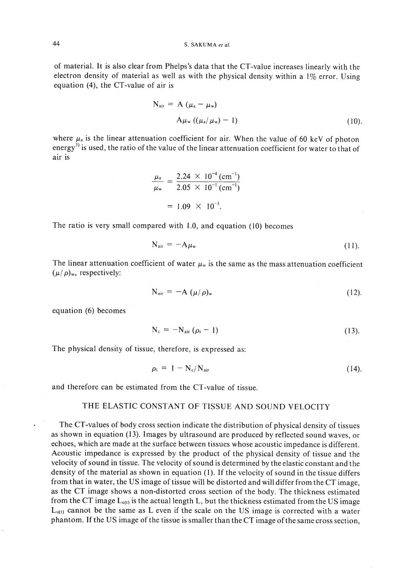of material. It is also clear from Phelps's data that the CT-value increases linearly with the electron density of material as well as with the physical density within a I% error. Using equation (4), the CT-value of air is

$$
N_{\text{air}} = A \left( \mu_a - \mu_w \right)
$$
  
 
$$
A \mu_w \left( \left( \mu_a / \mu_w \right) - 1 \right) \tag{10}
$$

where  $\mu_a$  is the linear attenuation coefficient for air. When the value of 60 keV of photon energy<sup>3)</sup> is used, the ratio of the value of the linear attenuation coefficient for water to that of air is

$$
\frac{\mu_{\rm a}}{\mu_{\rm w}} = \frac{2.24 \times 10^{-4} \, \text{(cm}^{-1})}{2.05 \times 10^{-1} \, \text{(cm}^{-1})}
$$
\n
$$
= 1.09 \times 10^{-3}.
$$

The ratio is very small compared with 1.0, and equation (10) becomes

$$
N_{\text{air}} = -A\mu_{\text{w}} \tag{11}.
$$

The linear attenuation coefficient of water  $\mu_w$  is the same as the mass attenuation coefficient  $(\mu/\rho)_{w}$ , respectively:

$$
N_{\text{air}} = -A \left( \mu / \rho \right)_{w} \tag{12}.
$$

equation (6) becomes

$$
N_c = -N_{air} (\rho_t - 1) \tag{13}
$$

The physical density of tissue, therefore, is expressed as:

$$
\rho_{\rm t} = 1 - N_{\rm c}/N_{\rm air} \tag{14}
$$

and therefore can be estimated from the CT-value of tissue.

## THE ELASTIC CONSTANT OF TISSUE AND SOUND VELOCITY

The CT-values of body cross section indicate the distribution of physical density of tissues as shown in equation (13). Images by ultrasound are produced by reflected sound waves, or echoes, which are made at the surface between tissues whose acoustic impedance is different. Acoustic impedance is expressed by the product of the physical density of tissue and the velocity ofsound in tissue. The velocity ofsound is determined by the elastic constant and the density of the material as shown in equation (1). If the velocity of sound in the tissue differs from that in water, the US image of tissue will be distorted and will differ from the CT image, as the CT image shows a non-distorted cross section of the body. The thickness estimated from the CT image  $L_{c(t)}$  is the actual length L, but the thickness estimated from the US image  $L_{u(t)}$  cannot be the same as L even if the scale on the US image is corrected with a water phantom. Ifthe US image of the tissue is smaller than the CT image ofthe same cross section,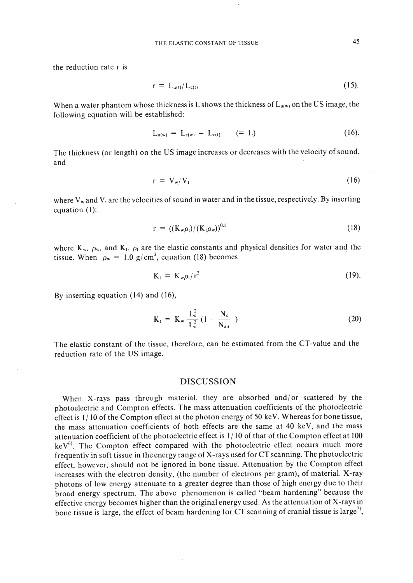the reduction rate r is

$$
r = L_{u(t)}/L_{c(t)} \tag{15}
$$

When a water phantom whose thickness is L shows the thickness of  $L_{u(w)}$  on the US image, the following equation will be established:

$$
L_{u(w)} = L_{c(w)} = L_{c(t)} \qquad (= L) \qquad (16).
$$

The thickness (or length) on the US image increases or decreases with the velocity of sound, and

$$
r = V_w / V_t \tag{16}
$$

where  $V_w$  and  $V_t$  are the velocities of sound in water and in the tissue, respectively. By inserting equation (I):

$$
r = ((K_w \rho_i)/(K_i \rho_w))^{0.5}
$$
 (18)

where K<sub>w</sub>,  $\rho_w$ , and K<sub>t</sub>,  $\rho_t$  are the elastic constants and physical densities for water and the tissue. When  $\rho_w = 1.0 \text{ g/cm}^3$ , equation (18) becomes

$$
K_t = K_w \rho_t / r^2 \tag{19}.
$$

By inserting equation (14) and (16),

$$
K_{t} = K_{w} \frac{L_{c}^{2}}{L_{u}^{2}} (1 - \frac{N_{c}}{N_{air}})
$$
 (20)

The elastic constant of the tissue, therefore, can be estimated from the CT-value and the reduction rate of the US image.

#### DISCUSSION

When X-rays pass through material, they are absorbed and/ or scattered by the photoelectric and Compton effects. The mass attenuation coefficients of the photoelectric effect is  $1/10$  of the Compton effect at the photon energy of 50 keV. Whereas for bone tissue, the mass attenuation coefficients of both effects are the same at 40 keY, and the mass attenuation coefficient of the photoelectric effect is 1/ 10 of that of the Compton effect at 100  $keV<sup>6</sup>$ . The Compton effect compared with the photoelectric effect occurs much more frequently in soft tissue in the energy range of X-rays used for CT scanning. The photoelectric effect, however, should not be ignored in bone tissue. Attenuation by the Compton effect increases with the electron density, (the number of electrons per gram), of material. X-ray photons of low energy attenuate to a greater degree than those of high energy due to their broad energy spectrum. The above phenomenon is called "beam hardening" because the effective energy becomes higher than the original energy used. As the attenuation of X-rays in bone tissue is large, the effect of beam hardening for CT scanning of cranial tissue is large<sup>7</sup>.